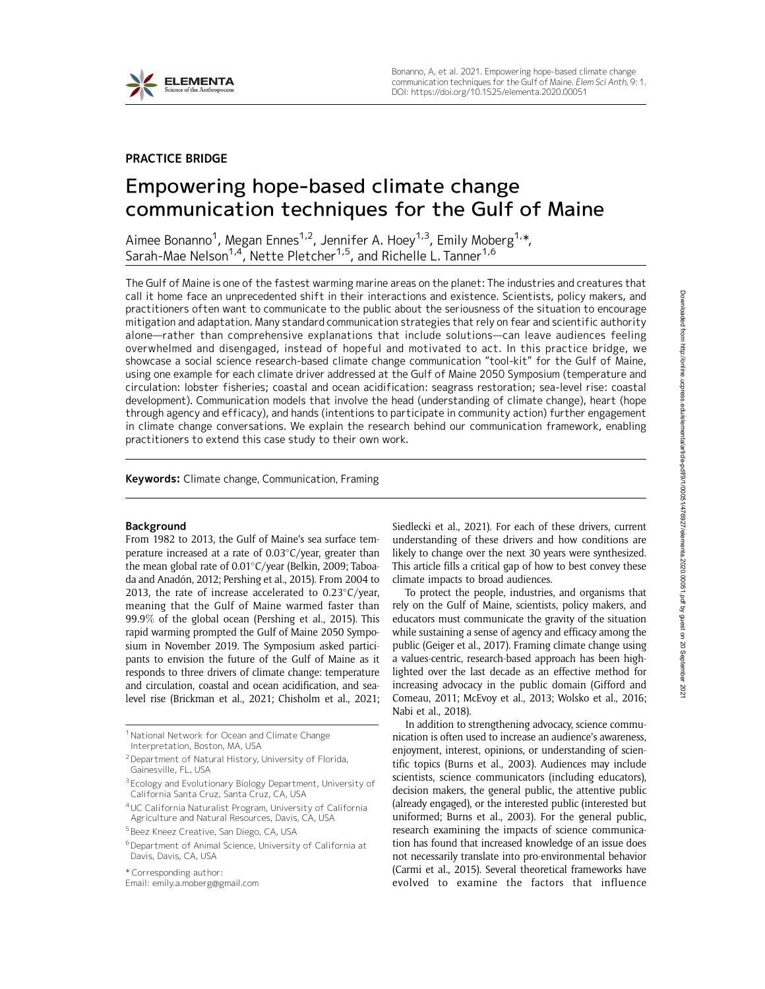

## PRACTICE BRIDGE

# Empowering hope-based climate change communication techniques for the Gulf of Maine

Aimee Bonanno<sup>1</sup>, Megan Ennes<sup>1,2</sup>, Jennifer A. Hoey<sup>1,3</sup>, Emily Moberg<sup>1,</sup>\*, Sarah-Mae Nelson<sup>1,4</sup>, Nette Pletcher<sup>1,5</sup>, and Richelle L. Tanner<sup>1,6</sup>

The Gulf of Maine is one of the fastest warming marine areas on the planet: The industries and creatures that call it home face an unprecedented shift in their interactions and existence. Scientists, policy makers, and practitioners often want to communicate to the public about the seriousness of the situation to encourage mitigation and adaptation. Many standard communication strategies that rely on fear and scientific authority alone—rather than comprehensive explanations that include solutions—can leave audiences feeling overwhelmed and disengaged, instead of hopeful and motivated to act. In this practice bridge, we showcase a social science research-based climate change communication "tool-kit" for the Gulf of Maine, using one example for each climate driver addressed at the Gulf of Maine 2050 Symposium (temperature and circulation: lobster fisheries; coastal and ocean acidification: seagrass restoration; sea-level rise: coastal development). Communication models that involve the head (understanding of climate change), heart (hope through agency and efficacy), and hands (intentions to participate in community action) further engagement in climate change conversations. We explain the research behind our communication framework, enabling practitioners to extend this case study to their own work.

Keywords: Climate change, Communication, Framing

#### Background

From 1982 to 2013, the Gulf of Maine's sea surface temperature increased at a rate of  $0.03^{\circ}$ C/year, greater than the mean global rate of  $0.01^{\circ}$ C/year (Belkin, 2009; Taboada and Anadón, 2012; Pershing et al., 2015). From 2004 to 2013, the rate of increase accelerated to  $0.23^{\circ}$ C/year, meaning that the Gulf of Maine warmed faster than 99.9% of the global ocean (Pershing et al., 2015). This rapid warming prompted the Gulf of Maine 2050 Symposium in November 2019. The Symposium asked participants to envision the future of the Gulf of Maine as it responds to three drivers of climate change: temperature and circulation, coastal and ocean acidification, and sealevel rise (Brickman et al., 2021; Chisholm et al., 2021;

<sup>1</sup> National Network for Ocean and Climate Change Interpretation, Boston, MA, USA

2Department of Natural History, University of Florida, Gainesville, FL, USA

\* Corresponding author: Email: emily.a.moberg@gmail.com

Siedlecki et al., 2021). For each of these drivers, current understanding of these drivers and how conditions are likely to change over the next 30 years were synthesized. This article fills a critical gap of how to best convey these climate impacts to broad audiences.

To protect the people, industries, and organisms that rely on the Gulf of Maine, scientists, policy makers, and educators must communicate the gravity of the situation while sustaining a sense of agency and efficacy among the public (Geiger et al., 2017). Framing climate change using a values-centric, research-based approach has been highlighted over the last decade as an effective method for increasing advocacy in the public domain (Gifford and Comeau, 2011; McEvoy et al., 2013; Wolsko et al., 2016; Nabi et al., 2018).

In addition to strengthening advocacy, science communication is often used to increase an audience's awareness, enjoyment, interest, opinions, or understanding of scientific topics (Burns et al., 2003). Audiences may include scientists, science communicators (including educators), decision makers, the general public, the attentive public (already engaged), or the interested public (interested but uniformed; Burns et al., 2003). For the general public, research examining the impacts of science communication has found that increased knowledge of an issue does not necessarily translate into pro-environmental behavior (Carmi et al., 2015). Several theoretical frameworks have evolved to examine the factors that influence

<sup>&</sup>lt;sup>3</sup> Ecology and Evolutionary Biology Department, University of California Santa Cruz, Santa Cruz, CA, USA

<sup>4</sup>UC California Naturalist Program, University of California Agriculture and Natural Resources, Davis, CA, USA

<sup>5</sup> Beez Kneez Creative, San Diego, CA, USA

<sup>6</sup>Department of Animal Science, University of California at Davis, Davis, CA, USA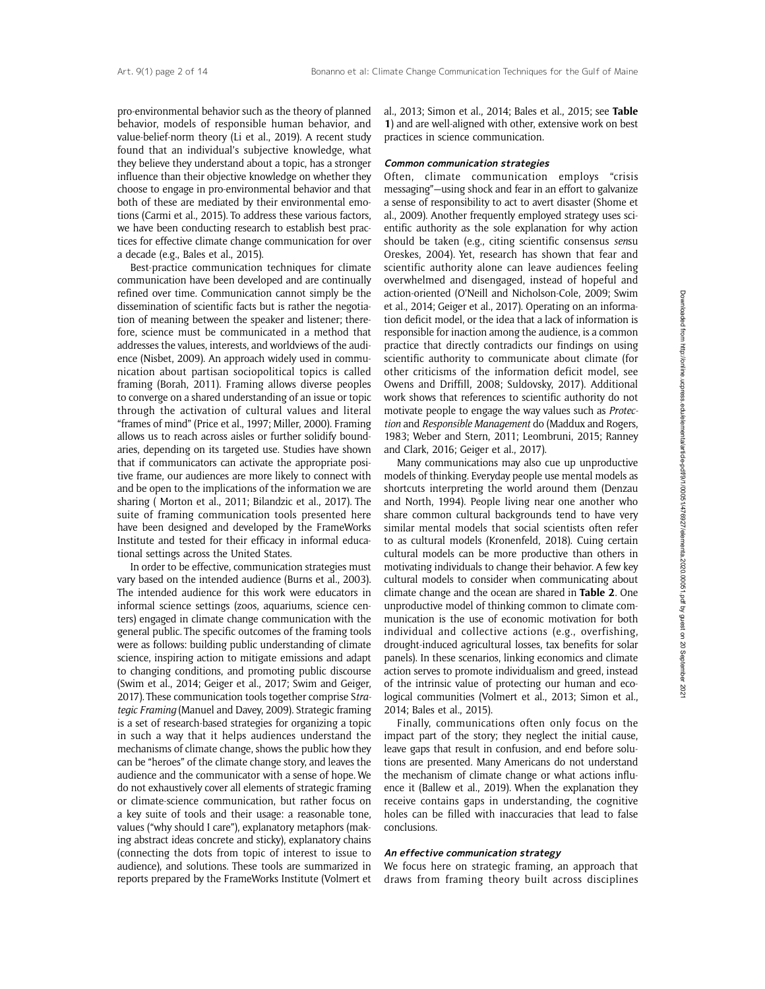pro-environmental behavior such as the theory of planned behavior, models of responsible human behavior, and value-belief-norm theory (Li et al., 2019). A recent study found that an individual's subjective knowledge, what they believe they understand about a topic, has a stronger influence than their objective knowledge on whether they choose to engage in pro-environmental behavior and that both of these are mediated by their environmental emotions (Carmi et al., 2015). To address these various factors, we have been conducting research to establish best practices for effective climate change communication for over a decade (e.g., Bales et al., 2015).

Best-practice communication techniques for climate communication have been developed and are continually refined over time. Communication cannot simply be the dissemination of scientific facts but is rather the negotiation of meaning between the speaker and listener; therefore, science must be communicated in a method that addresses the values, interests, and worldviews of the audience (Nisbet, 2009). An approach widely used in communication about partisan sociopolitical topics is called framing (Borah, 2011). Framing allows diverse peoples to converge on a shared understanding of an issue or topic through the activation of cultural values and literal "frames of mind" (Price et al., 1997; Miller, 2000). Framing allows us to reach across aisles or further solidify boundaries, depending on its targeted use. Studies have shown that if communicators can activate the appropriate positive frame, our audiences are more likely to connect with and be open to the implications of the information we are sharing ( Morton et al., 2011; Bilandzic et al., 2017). The suite of framing communication tools presented here have been designed and developed by the FrameWorks Institute and tested for their efficacy in informal educational settings across the United States.

In order to be effective, communication strategies must vary based on the intended audience (Burns et al., 2003). The intended audience for this work were educators in informal science settings (zoos, aquariums, science centers) engaged in climate change communication with the general public. The specific outcomes of the framing tools were as follows: building public understanding of climate science, inspiring action to mitigate emissions and adapt to changing conditions, and promoting public discourse (Swim et al., 2014; Geiger et al., 2017; Swim and Geiger, 2017). These communication tools together comprise Strategic Framing (Manuel and Davey, 2009). Strategic framing is a set of research-based strategies for organizing a topic in such a way that it helps audiences understand the mechanisms of climate change, shows the public how they can be "heroes" of the climate change story, and leaves the audience and the communicator with a sense of hope. We do not exhaustively cover all elements of strategic framing or climate-science communication, but rather focus on a key suite of tools and their usage: a reasonable tone, values ("why should I care"), explanatory metaphors (making abstract ideas concrete and sticky), explanatory chains (connecting the dots from topic of interest to issue to audience), and solutions. These tools are summarized in reports prepared by the FrameWorks Institute (Volmert et al., 2013; Simon et al., 2014; Bales et al., 2015; see Table 1) and are well-aligned with other, extensive work on best practices in science communication.

#### Common communication strategies

Often, climate communication employs "crisis messaging"—using shock and fear in an effort to galvanize a sense of responsibility to act to avert disaster (Shome et al., 2009). Another frequently employed strategy uses scientific authority as the sole explanation for why action should be taken (e.g., citing scientific consensus sensu Oreskes, 2004). Yet, research has shown that fear and scientific authority alone can leave audiences feeling overwhelmed and disengaged, instead of hopeful and action-oriented (O'Neill and Nicholson-Cole, 2009; Swim et al., 2014; Geiger et al., 2017). Operating on an information deficit model, or the idea that a lack of information is responsible for inaction among the audience, is a common practice that directly contradicts our findings on using scientific authority to communicate about climate (for other criticisms of the information deficit model, see Owens and Driffill, 2008; Suldovsky, 2017). Additional work shows that references to scientific authority do not motivate people to engage the way values such as Protection and Responsible Management do (Maddux and Rogers, 1983; Weber and Stern, 2011; Leombruni, 2015; Ranney and Clark, 2016; Geiger et al., 2017).

Many communications may also cue up unproductive models of thinking. Everyday people use mental models as shortcuts interpreting the world around them (Denzau and North, 1994). People living near one another who share common cultural backgrounds tend to have very similar mental models that social scientists often refer to as cultural models (Kronenfeld, 2018). Cuing certain cultural models can be more productive than others in motivating individuals to change their behavior. A few key cultural models to consider when communicating about climate change and the ocean are shared in Table 2. One unproductive model of thinking common to climate communication is the use of economic motivation for both individual and collective actions (e.g., overfishing, drought-induced agricultural losses, tax benefits for solar panels). In these scenarios, linking economics and climate action serves to promote individualism and greed, instead of the intrinsic value of protecting our human and ecological communities (Volmert et al., 2013; Simon et al., 2014; Bales et al., 2015).

Finally, communications often only focus on the impact part of the story; they neglect the initial cause, leave gaps that result in confusion, and end before solutions are presented. Many Americans do not understand the mechanism of climate change or what actions influence it (Ballew et al., 2019). When the explanation they receive contains gaps in understanding, the cognitive holes can be filled with inaccuracies that lead to false conclusions.

#### An effective communication strategy

We focus here on strategic framing, an approach that draws from framing theory built across disciplines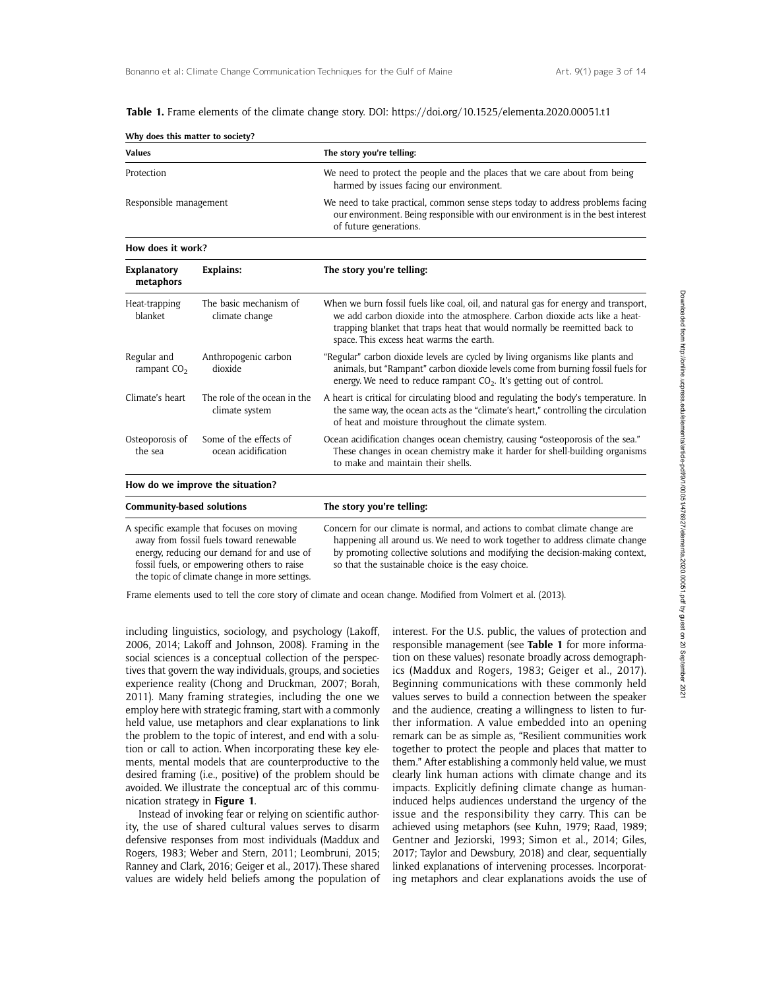Table 1. Frame elements of the climate change story. DOI: https://doi.org/10.1525/elementa.2020.00051.t1

| Why does this matter to society? |                                          |                                                                                                                                                                                                                                                                                             |  |  |  |  |  |
|----------------------------------|------------------------------------------|---------------------------------------------------------------------------------------------------------------------------------------------------------------------------------------------------------------------------------------------------------------------------------------------|--|--|--|--|--|
| <b>Values</b>                    |                                          | The story you're telling:                                                                                                                                                                                                                                                                   |  |  |  |  |  |
| Protection                       |                                          | We need to protect the people and the places that we care about from being<br>harmed by issues facing our environment.                                                                                                                                                                      |  |  |  |  |  |
| Responsible management           |                                          | We need to take practical, common sense steps today to address problems facing<br>our environment. Being responsible with our environment is in the best interest<br>of future generations.                                                                                                 |  |  |  |  |  |
| How does it work?                |                                          |                                                                                                                                                                                                                                                                                             |  |  |  |  |  |
| <b>Explanatory</b><br>metaphors  | <b>Explains:</b>                         | The story you're telling:                                                                                                                                                                                                                                                                   |  |  |  |  |  |
| Heat-trapping<br>blanket         | The basic mechanism of<br>climate change | When we burn fossil fuels like coal, oil, and natural gas for energy and transport,<br>we add carbon dioxide into the atmosphere. Carbon dioxide acts like a heat-<br>trapping blanket that traps heat that would normally be reemitted back to<br>space. This excess heat warms the earth. |  |  |  |  |  |
| Regular and<br>rampant $CO2$     | Anthropogenic carbon<br>dioxide          | "Regular" carbon dioxide levels are cycled by living organisms like plants and<br>animals, but "Rampant" carbon dioxide levels come from burning fossil fuels for<br>energy. We need to reduce rampant $CO2$ . It's getting out of control.                                                 |  |  |  |  |  |
| Climate's heart                  | The role of the ocean in the             | A heart is critical for circulating blood and regulating the body's temperature. In                                                                                                                                                                                                         |  |  |  |  |  |

Frame elements used to tell the core story of climate and ocean change. Modified from Volmert et al. (2013).

including linguistics, sociology, and psychology (Lakoff, 2006, 2014; Lakoff and Johnson, 2008). Framing in the social sciences is a conceptual collection of the perspectives that govern the way individuals, groups, and societies experience reality (Chong and Druckman, 2007; Borah, 2011). Many framing strategies, including the one we employ here with strategic framing, start with a commonly held value, use metaphors and clear explanations to link the problem to the topic of interest, and end with a solution or call to action. When incorporating these key elements, mental models that are counterproductive to the desired framing (i.e., positive) of the problem should be avoided. We illustrate the conceptual arc of this communication strategy in Figure 1.

climate system

Some of the effects of ocean acidification

Community-based solutions The story you're telling:

Osteoporosis of the sea

How do we improve the situation?

A specific example that focuses on moving away from fossil fuels toward renewable energy, reducing our demand for and use of fossil fuels, or empowering others to raise the topic of climate change in more settings.

Instead of invoking fear or relying on scientific authority, the use of shared cultural values serves to disarm defensive responses from most individuals (Maddux and Rogers, 1983; Weber and Stern, 2011; Leombruni, 2015; Ranney and Clark, 2016; Geiger et al., 2017). These shared values are widely held beliefs among the population of

interest. For the U.S. public, the values of protection and responsible management (see Table 1 for more information on these values) resonate broadly across demographics (Maddux and Rogers, 1983; Geiger et al., 2017). Beginning communications with these commonly held values serves to build a connection between the speaker and the audience, creating a willingness to listen to further information. A value embedded into an opening remark can be as simple as, "Resilient communities work together to protect the people and places that matter to them." After establishing a commonly held value, we must clearly link human actions with climate change and its impacts. Explicitly defining climate change as humaninduced helps audiences understand the urgency of the issue and the responsibility they carry. This can be achieved using metaphors (see Kuhn, 1979; Raad, 1989; Gentner and Jeziorski, 1993; Simon et al., 2014; Giles, 2017; Taylor and Dewsbury, 2018) and clear, sequentially linked explanations of intervening processes. Incorporating metaphors and clear explanations avoids the use of

the same way, the ocean acts as the "climate's heart," controlling the circulation

Ocean acidification changes ocean chemistry, causing "osteoporosis of the sea." These changes in ocean chemistry make it harder for shell-building organisms

Concern for our climate is normal, and actions to combat climate change are happening all around us. We need to work together to address climate change by promoting collective solutions and modifying the decision-making context,

of heat and moisture throughout the climate system.

so that the sustainable choice is the easy choice.

to make and maintain their shells.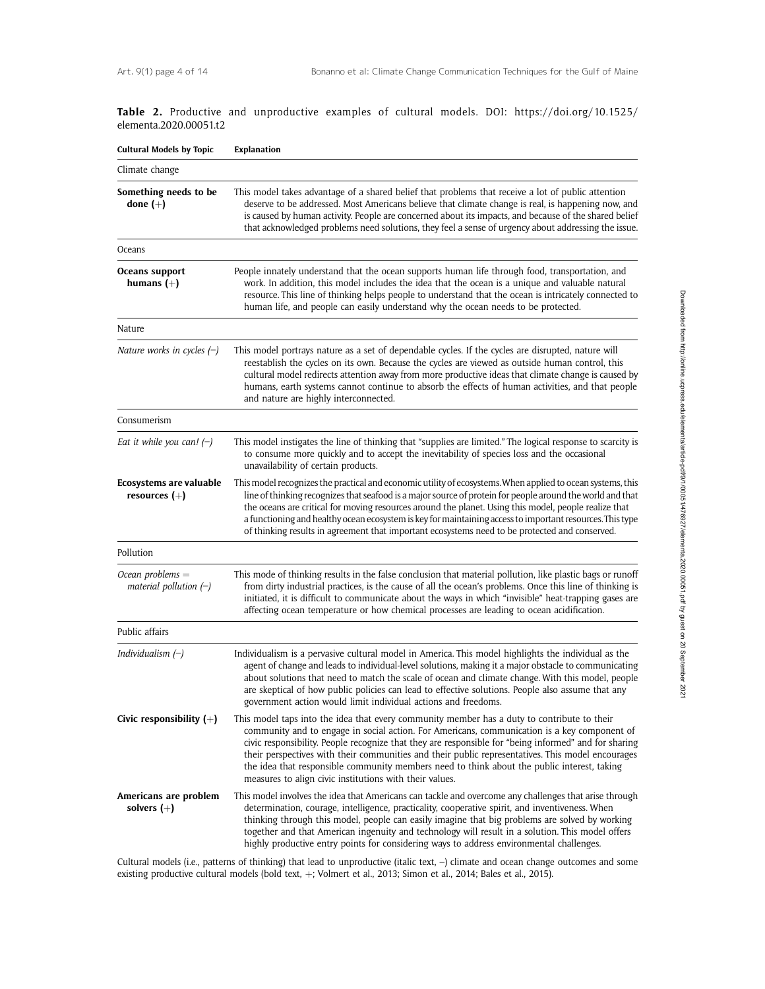|  |                        |  |  |  | Table 2. Productive and unproductive examples of cultural models. DOI: https://doi.org/10.1525/ |  |
|--|------------------------|--|--|--|-------------------------------------------------------------------------------------------------|--|
|  | elementa.2020.00051.t2 |  |  |  |                                                                                                 |  |

| <b>Cultural Models by Topic</b>                | <b>Explanation</b>                                                                                                                                                                                                                                                                                                                                                                                                                                                                                                                                                  |  |  |  |  |  |
|------------------------------------------------|---------------------------------------------------------------------------------------------------------------------------------------------------------------------------------------------------------------------------------------------------------------------------------------------------------------------------------------------------------------------------------------------------------------------------------------------------------------------------------------------------------------------------------------------------------------------|--|--|--|--|--|
| Climate change                                 |                                                                                                                                                                                                                                                                                                                                                                                                                                                                                                                                                                     |  |  |  |  |  |
| Something needs to be<br>done $(+)$            | This model takes advantage of a shared belief that problems that receive a lot of public attention<br>deserve to be addressed. Most Americans believe that climate change is real, is happening now, and<br>is caused by human activity. People are concerned about its impacts, and because of the shared belief<br>that acknowledged problems need solutions, they feel a sense of urgency about addressing the issue.                                                                                                                                            |  |  |  |  |  |
| Oceans                                         |                                                                                                                                                                                                                                                                                                                                                                                                                                                                                                                                                                     |  |  |  |  |  |
| Oceans support<br>humans $(+)$                 | People innately understand that the ocean supports human life through food, transportation, and<br>work. In addition, this model includes the idea that the ocean is a unique and valuable natural<br>resource. This line of thinking helps people to understand that the ocean is intricately connected to<br>human life, and people can easily understand why the ocean needs to be protected.                                                                                                                                                                    |  |  |  |  |  |
| Nature                                         |                                                                                                                                                                                                                                                                                                                                                                                                                                                                                                                                                                     |  |  |  |  |  |
| Nature works in cycles $(-)$                   | This model portrays nature as a set of dependable cycles. If the cycles are disrupted, nature will<br>reestablish the cycles on its own. Because the cycles are viewed as outside human control, this<br>cultural model redirects attention away from more productive ideas that climate change is caused by<br>humans, earth systems cannot continue to absorb the effects of human activities, and that people<br>and nature are highly interconnected.                                                                                                           |  |  |  |  |  |
| Consumerism                                    |                                                                                                                                                                                                                                                                                                                                                                                                                                                                                                                                                                     |  |  |  |  |  |
| Eat it while you can! $(-)$                    | This model instigates the line of thinking that "supplies are limited." The logical response to scarcity is<br>to consume more quickly and to accept the inevitability of species loss and the occasional<br>unavailability of certain products.                                                                                                                                                                                                                                                                                                                    |  |  |  |  |  |
| Ecosystems are valuable<br>resources $(+)$     | This model recognizes the practical and economic utility of ecosystems. When applied to ocean systems, this<br>line of thinking recognizes that seafood is a major source of protein for people around the world and that<br>the oceans are critical for moving resources around the planet. Using this model, people realize that<br>a functioning and healthy ocean ecosystem is key for maintaining access to important resources. This type<br>of thinking results in agreement that important ecosystems need to be protected and conserved.                   |  |  |  |  |  |
| Pollution                                      |                                                                                                                                                                                                                                                                                                                                                                                                                                                                                                                                                                     |  |  |  |  |  |
| Ocean problems $=$<br>material pollution $(-)$ | This mode of thinking results in the false conclusion that material pollution, like plastic bags or runoff<br>from dirty industrial practices, is the cause of all the ocean's problems. Once this line of thinking is<br>initiated, it is difficult to communicate about the ways in which "invisible" heat-trapping gases are<br>affecting ocean temperature or how chemical processes are leading to ocean acidification.                                                                                                                                        |  |  |  |  |  |
| Public affairs                                 |                                                                                                                                                                                                                                                                                                                                                                                                                                                                                                                                                                     |  |  |  |  |  |
| Individualism $(-)$                            | Individualism is a pervasive cultural model in America. This model highlights the individual as the<br>agent of change and leads to individual-level solutions, making it a major obstacle to communicating<br>about solutions that need to match the scale of ocean and climate change. With this model, people<br>are skeptical of how public policies can lead to effective solutions. People also assume that any<br>government action would limit individual actions and freedoms.                                                                             |  |  |  |  |  |
| Civic responsibility $(+)$                     | This model taps into the idea that every community member has a duty to contribute to their<br>community and to engage in social action. For Americans, communication is a key component of<br>civic responsibility. People recognize that they are responsible for "being informed" and for sharing<br>their perspectives with their communities and their public representatives. This model encourages<br>the idea that responsible community members need to think about the public interest, taking<br>measures to align civic institutions with their values. |  |  |  |  |  |
| Americans are problem<br>solvers $(+)$         | This model involves the idea that Americans can tackle and overcome any challenges that arise through<br>determination, courage, intelligence, practicality, cooperative spirit, and inventiveness. When<br>thinking through this model, people can easily imagine that big problems are solved by working<br>together and that American ingenuity and technology will result in a solution. This model offers<br>highly productive entry points for considering ways to address environmental challenges.                                                          |  |  |  |  |  |

Cultural models (i.e., patterns of thinking) that lead to unproductive (italic text, –) climate and ocean change outcomes and some existing productive cultural models (bold text,  $+$ ; Volmert et al., 2013; Simon et al., 2014; Bales et al., 2015).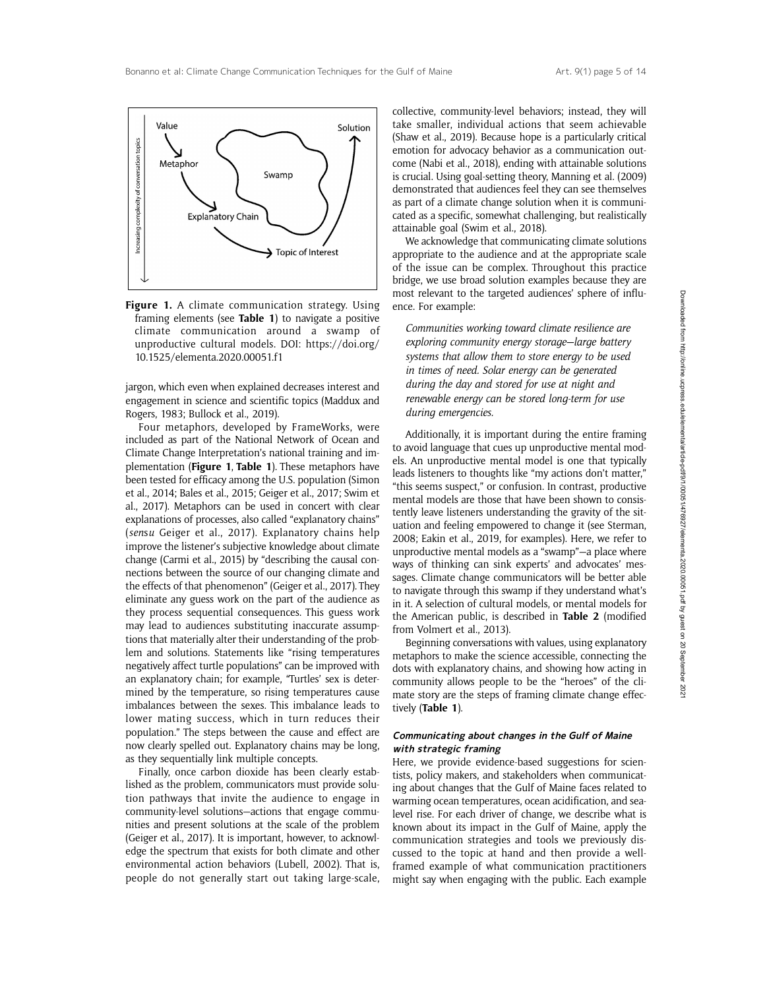

Figure 1. A climate communication strategy. Using framing elements (see Table 1) to navigate a positive climate communication around a swamp of unproductive cultural models. DOI: https://doi.org/ 10.1525/elementa.2020.00051.f1

jargon, which even when explained decreases interest and engagement in science and scientific topics (Maddux and Rogers, 1983; Bullock et al., 2019).

Four metaphors, developed by FrameWorks, were included as part of the National Network of Ocean and Climate Change Interpretation's national training and implementation (Figure 1, Table 1). These metaphors have been tested for efficacy among the U.S. population (Simon et al., 2014; Bales et al., 2015; Geiger et al., 2017; Swim et al., 2017). Metaphors can be used in concert with clear explanations of processes, also called "explanatory chains" (sensu Geiger et al., 2017). Explanatory chains help improve the listener's subjective knowledge about climate change (Carmi et al., 2015) by "describing the causal connections between the source of our changing climate and the effects of that phenomenon" (Geiger et al., 2017). They eliminate any guess work on the part of the audience as they process sequential consequences. This guess work may lead to audiences substituting inaccurate assumptions that materially alter their understanding of the problem and solutions. Statements like "rising temperatures negatively affect turtle populations" can be improved with an explanatory chain; for example, "Turtles' sex is determined by the temperature, so rising temperatures cause imbalances between the sexes. This imbalance leads to lower mating success, which in turn reduces their population." The steps between the cause and effect are now clearly spelled out. Explanatory chains may be long, as they sequentially link multiple concepts.

Finally, once carbon dioxide has been clearly established as the problem, communicators must provide solution pathways that invite the audience to engage in community-level solutions—actions that engage communities and present solutions at the scale of the problem (Geiger et al., 2017). It is important, however, to acknowledge the spectrum that exists for both climate and other environmental action behaviors (Lubell, 2002). That is, people do not generally start out taking large-scale,

collective, community-level behaviors; instead, they will take smaller, individual actions that seem achievable (Shaw et al., 2019). Because hope is a particularly critical emotion for advocacy behavior as a communication outcome (Nabi et al., 2018), ending with attainable solutions is crucial. Using goal-setting theory, Manning et al. (2009) demonstrated that audiences feel they can see themselves as part of a climate change solution when it is communicated as a specific, somewhat challenging, but realistically attainable goal (Swim et al., 2018).

We acknowledge that communicating climate solutions appropriate to the audience and at the appropriate scale of the issue can be complex. Throughout this practice bridge, we use broad solution examples because they are most relevant to the targeted audiences' sphere of influence. For example:

Communities working toward climate resilience are exploring community energy storage—large battery systems that allow them to store energy to be used in times of need. Solar energy can be generated during the day and stored for use at night and renewable energy can be stored long-term for use during emergencies.

Additionally, it is important during the entire framing to avoid language that cues up unproductive mental models. An unproductive mental model is one that typically leads listeners to thoughts like "my actions don't matter," "this seems suspect," or confusion. In contrast, productive mental models are those that have been shown to consistently leave listeners understanding the gravity of the situation and feeling empowered to change it (see Sterman, 2008; Eakin et al., 2019, for examples). Here, we refer to unproductive mental models as a "swamp"—a place where ways of thinking can sink experts' and advocates' messages. Climate change communicators will be better able to navigate through this swamp if they understand what's in it. A selection of cultural models, or mental models for the American public, is described in Table 2 (modified from Volmert et al., 2013).

Beginning conversations with values, using explanatory metaphors to make the science accessible, connecting the dots with explanatory chains, and showing how acting in community allows people to be the "heroes" of the climate story are the steps of framing climate change effectively (Table 1).

### Communicating about changes in the Gulf of Maine with strategic framing

Here, we provide evidence-based suggestions for scientists, policy makers, and stakeholders when communicating about changes that the Gulf of Maine faces related to warming ocean temperatures, ocean acidification, and sealevel rise. For each driver of change, we describe what is known about its impact in the Gulf of Maine, apply the communication strategies and tools we previously discussed to the topic at hand and then provide a wellframed example of what communication practitioners might say when engaging with the public. Each example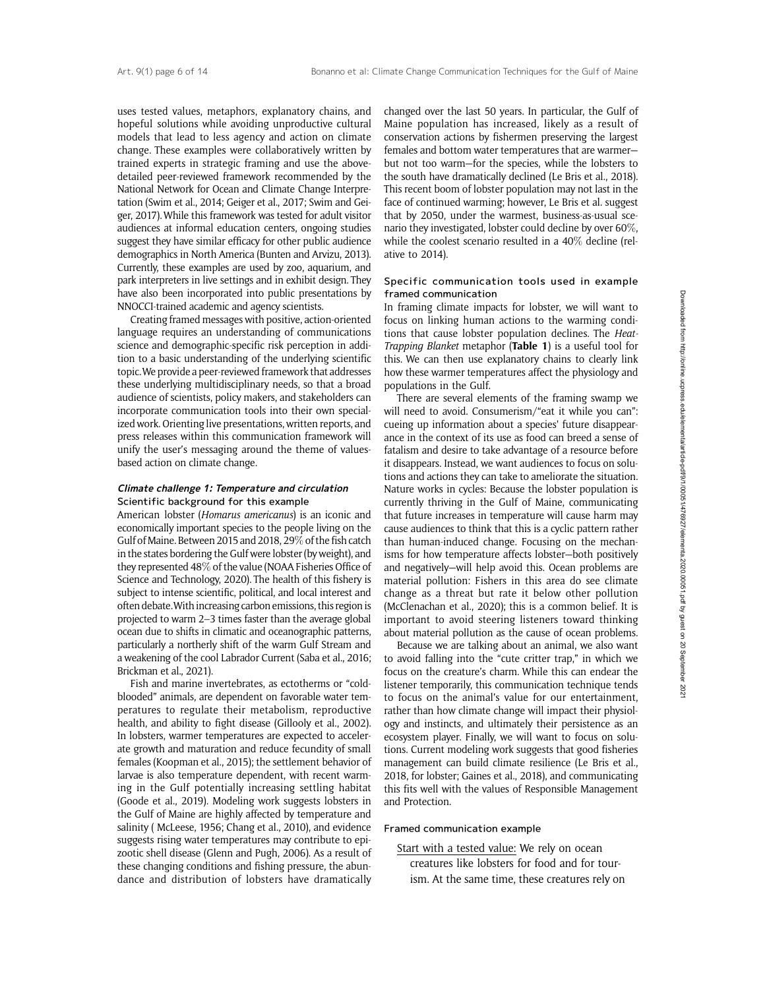uses tested values, metaphors, explanatory chains, and hopeful solutions while avoiding unproductive cultural models that lead to less agency and action on climate change. These examples were collaboratively written by trained experts in strategic framing and use the abovedetailed peer-reviewed framework recommended by the National Network for Ocean and Climate Change Interpretation (Swim et al., 2014; Geiger et al., 2017; Swim and Geiger, 2017). While this framework was tested for adult visitor audiences at informal education centers, ongoing studies suggest they have similar efficacy for other public audience demographics in North America (Bunten and Arvizu, 2013). Currently, these examples are used by zoo, aquarium, and park interpreters in live settings and in exhibit design. They have also been incorporated into public presentations by NNOCCI-trained academic and agency scientists.

Creating framed messages with positive, action-oriented language requires an understanding of communications science and demographic-specific risk perception in addition to a basic understanding of the underlying scientific topic.We provide a peer-reviewed framework that addresses these underlying multidisciplinary needs, so that a broad audience of scientists, policy makers, and stakeholders can incorporate communication tools into their own specialized work. Orienting live presentations, written reports, and press releases within this communication framework will unify the user's messaging around the theme of valuesbased action on climate change.

#### Climate challenge 1: Temperature and circulation Scientific background for this example

American lobster (Homarus americanus) is an iconic and economically important species to the people living on the Gulf of Maine. Between 2015 and 2018, 29% of the fish catch in the states bordering the Gulf were lobster (by weight), and they represented 48% of the value (NOAA Fisheries Office of Science and Technology, 2020). The health of this fishery is subject to intense scientific, political, and local interest and often debate.With increasing carbon emissions, this region is projected to warm 2–3 times faster than the average global ocean due to shifts in climatic and oceanographic patterns, particularly a northerly shift of the warm Gulf Stream and a weakening of the cool Labrador Current (Saba et al., 2016; Brickman et al., 2021).

Fish and marine invertebrates, as ectotherms or "coldblooded" animals, are dependent on favorable water temperatures to regulate their metabolism, reproductive health, and ability to fight disease (Gillooly et al., 2002). In lobsters, warmer temperatures are expected to accelerate growth and maturation and reduce fecundity of small females (Koopman et al., 2015); the settlement behavior of larvae is also temperature dependent, with recent warming in the Gulf potentially increasing settling habitat (Goode et al., 2019). Modeling work suggests lobsters in the Gulf of Maine are highly affected by temperature and salinity ( McLeese, 1956; Chang et al., 2010), and evidence suggests rising water temperatures may contribute to epizootic shell disease (Glenn and Pugh, 2006). As a result of these changing conditions and fishing pressure, the abundance and distribution of lobsters have dramatically

changed over the last 50 years. In particular, the Gulf of Maine population has increased, likely as a result of conservation actions by fishermen preserving the largest females and bottom water temperatures that are warmer but not too warm—for the species, while the lobsters to the south have dramatically declined (Le Bris et al., 2018). This recent boom of lobster population may not last in the face of continued warming; however, Le Bris et al. suggest that by 2050, under the warmest, business-as-usual scenario they investigated, lobster could decline by over 60%, while the coolest scenario resulted in a 40% decline (relative to 2014).

#### Specific communication tools used in example framed communication

In framing climate impacts for lobster, we will want to focus on linking human actions to the warming conditions that cause lobster population declines. The Heat-Trapping Blanket metaphor (Table 1) is a useful tool for this. We can then use explanatory chains to clearly link how these warmer temperatures affect the physiology and populations in the Gulf.

There are several elements of the framing swamp we will need to avoid. Consumerism/"eat it while you can": cueing up information about a species' future disappearance in the context of its use as food can breed a sense of fatalism and desire to take advantage of a resource before it disappears. Instead, we want audiences to focus on solutions and actions they can take to ameliorate the situation. Nature works in cycles: Because the lobster population is currently thriving in the Gulf of Maine, communicating that future increases in temperature will cause harm may cause audiences to think that this is a cyclic pattern rather than human-induced change. Focusing on the mechanisms for how temperature affects lobster—both positively and negatively—will help avoid this. Ocean problems are material pollution: Fishers in this area do see climate change as a threat but rate it below other pollution (McClenachan et al., 2020); this is a common belief. It is important to avoid steering listeners toward thinking about material pollution as the cause of ocean problems.

Because we are talking about an animal, we also want to avoid falling into the "cute critter trap," in which we focus on the creature's charm. While this can endear the listener temporarily, this communication technique tends to focus on the animal's value for our entertainment, rather than how climate change will impact their physiology and instincts, and ultimately their persistence as an ecosystem player. Finally, we will want to focus on solutions. Current modeling work suggests that good fisheries management can build climate resilience (Le Bris et al., 2018, for lobster; Gaines et al., 2018), and communicating this fits well with the values of Responsible Management and Protection.

#### Framed communication example

Start with a tested value: We rely on ocean creatures like lobsters for food and for tourism. At the same time, these creatures rely on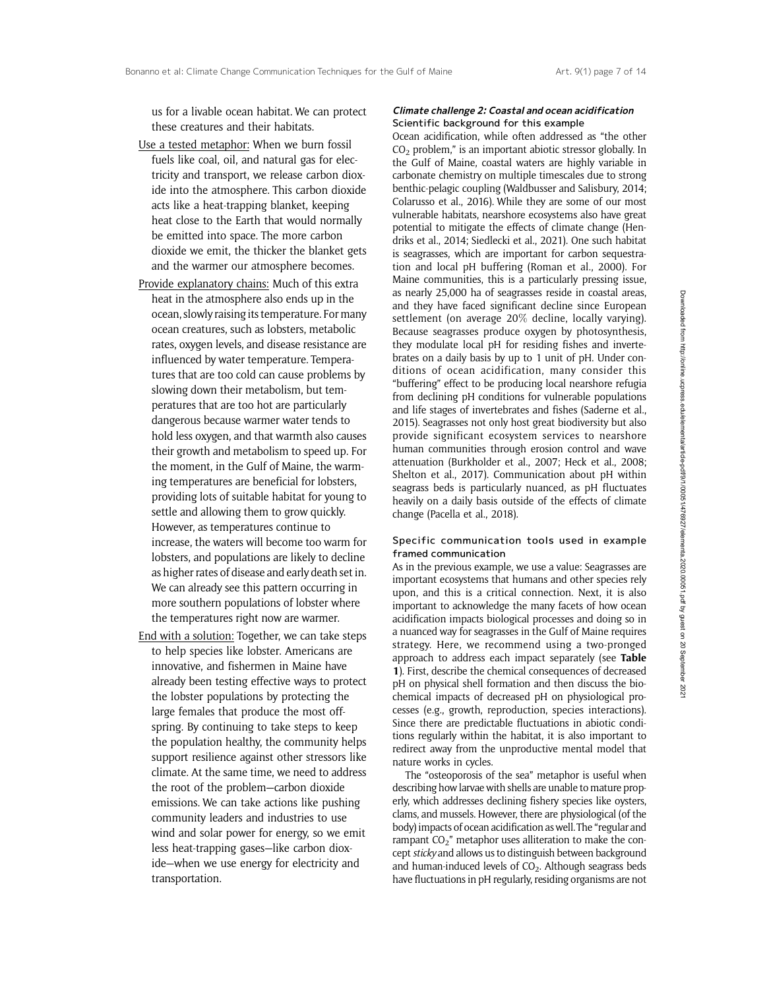us for a livable ocean habitat. We can protect these creatures and their habitats.

- Use a tested metaphor: When we burn fossil fuels like coal, oil, and natural gas for electricity and transport, we release carbon dioxide into the atmosphere. This carbon dioxide acts like a heat-trapping blanket, keeping heat close to the Earth that would normally be emitted into space. The more carbon dioxide we emit, the thicker the blanket gets and the warmer our atmosphere becomes.
- Provide explanatory chains: Much of this extra heat in the atmosphere also ends up in the ocean, slowly raising its temperature. For many ocean creatures, such as lobsters, metabolic rates, oxygen levels, and disease resistance are influenced by water temperature. Temperatures that are too cold can cause problems by slowing down their metabolism, but temperatures that are too hot are particularly dangerous because warmer water tends to hold less oxygen, and that warmth also causes their growth and metabolism to speed up. For the moment, in the Gulf of Maine, the warming temperatures are beneficial for lobsters, providing lots of suitable habitat for young to settle and allowing them to grow quickly. However, as temperatures continue to increase, the waters will become too warm for lobsters, and populations are likely to decline as higher rates of disease and early death set in. We can already see this pattern occurring in more southern populations of lobster where the temperatures right now are warmer.
- End with a solution: Together, we can take steps to help species like lobster. Americans are innovative, and fishermen in Maine have already been testing effective ways to protect the lobster populations by protecting the large females that produce the most offspring. By continuing to take steps to keep the population healthy, the community helps support resilience against other stressors like climate. At the same time, we need to address the root of the problem—carbon dioxide emissions. We can take actions like pushing community leaders and industries to use wind and solar power for energy, so we emit less heat-trapping gases—like carbon dioxide—when we use energy for electricity and transportation.

#### Climate challenge 2: Coastal and ocean acidification Scientific background for this example

Ocean acidification, while often addressed as "the other CO2 problem," is an important abiotic stressor globally. In the Gulf of Maine, coastal waters are highly variable in carbonate chemistry on multiple timescales due to strong benthic-pelagic coupling (Waldbusser and Salisbury, 2014; Colarusso et al., 2016). While they are some of our most vulnerable habitats, nearshore ecosystems also have great potential to mitigate the effects of climate change (Hendriks et al., 2014; Siedlecki et al., 2021). One such habitat is seagrasses, which are important for carbon sequestration and local pH buffering (Roman et al., 2000). For Maine communities, this is a particularly pressing issue, as nearly 25,000 ha of seagrasses reside in coastal areas, and they have faced significant decline since European settlement (on average 20% decline, locally varying). Because seagrasses produce oxygen by photosynthesis, they modulate local pH for residing fishes and invertebrates on a daily basis by up to 1 unit of pH. Under conditions of ocean acidification, many consider this "buffering" effect to be producing local nearshore refugia from declining pH conditions for vulnerable populations and life stages of invertebrates and fishes (Saderne et al., 2015). Seagrasses not only host great biodiversity but also provide significant ecosystem services to nearshore human communities through erosion control and wave attenuation (Burkholder et al., 2007; Heck et al., 2008; Shelton et al., 2017). Communication about pH within seagrass beds is particularly nuanced, as pH fluctuates heavily on a daily basis outside of the effects of climate change (Pacella et al., 2018).

#### Specific communication tools used in example framed communication

As in the previous example, we use a value: Seagrasses are important ecosystems that humans and other species rely upon, and this is a critical connection. Next, it is also important to acknowledge the many facets of how ocean acidification impacts biological processes and doing so in a nuanced way for seagrasses in the Gulf of Maine requires strategy. Here, we recommend using a two-pronged approach to address each impact separately (see Table 1). First, describe the chemical consequences of decreased pH on physical shell formation and then discuss the biochemical impacts of decreased pH on physiological processes (e.g., growth, reproduction, species interactions). Since there are predictable fluctuations in abiotic conditions regularly within the habitat, it is also important to redirect away from the unproductive mental model that nature works in cycles.

The "osteoporosis of the sea" metaphor is useful when describing how larvae with shells are unable to mature properly, which addresses declining fishery species like oysters, clams, and mussels. However, there are physiological (of the body) impacts of ocean acidification as well.The "regular and rampant  $CO<sub>2</sub>$ " metaphor uses alliteration to make the concept sticky and allows us to distinguish between background and human-induced levels of  $CO<sub>2</sub>$ . Although seagrass beds have fluctuations in pH regularly, residing organisms are not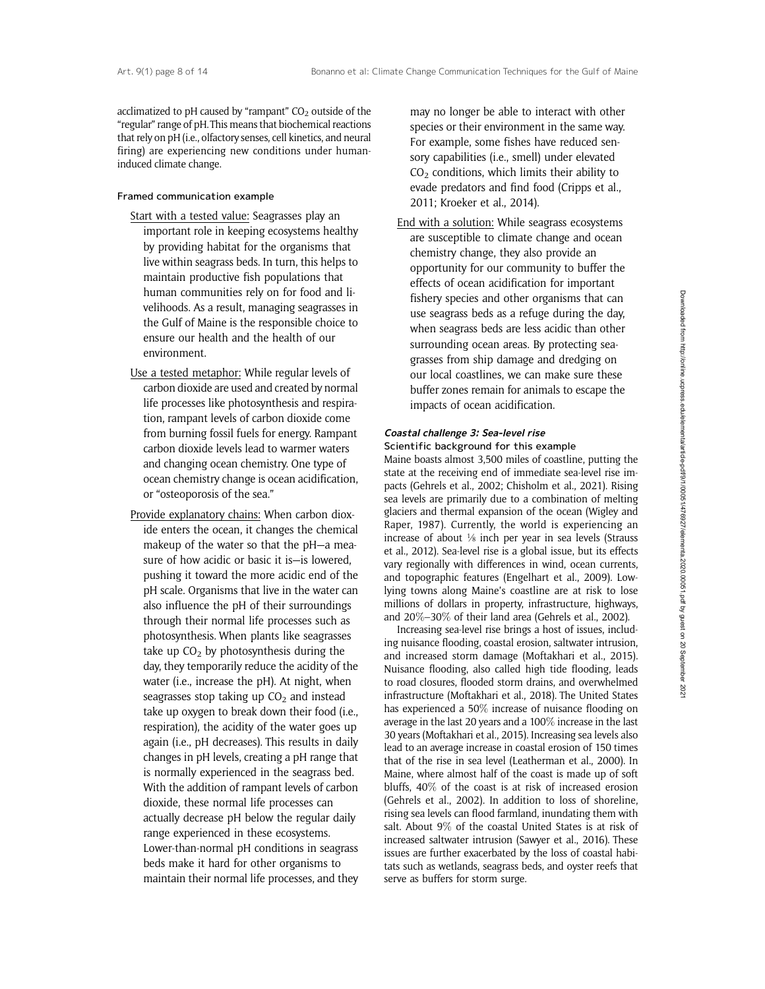acclimatized to pH caused by "rampant"  $CO<sub>2</sub>$  outside of the "regular" range of pH.This means that biochemical reactions that rely on pH (i.e., olfactory senses, cell kinetics, and neural firing) are experiencing new conditions under humaninduced climate change.

#### Framed communication example

- Start with a tested value: Seagrasses play an important role in keeping ecosystems healthy by providing habitat for the organisms that live within seagrass beds. In turn, this helps to maintain productive fish populations that human communities rely on for food and livelihoods. As a result, managing seagrasses in the Gulf of Maine is the responsible choice to ensure our health and the health of our environment.
- Use a tested metaphor: While regular levels of carbon dioxide are used and created by normal life processes like photosynthesis and respiration, rampant levels of carbon dioxide come from burning fossil fuels for energy. Rampant carbon dioxide levels lead to warmer waters and changing ocean chemistry. One type of ocean chemistry change is ocean acidification, or "osteoporosis of the sea."
- Provide explanatory chains: When carbon dioxide enters the ocean, it changes the chemical makeup of the water so that the pH—a measure of how acidic or basic it is—is lowered, pushing it toward the more acidic end of the pH scale. Organisms that live in the water can also influence the pH of their surroundings through their normal life processes such as photosynthesis. When plants like seagrasses take up  $CO<sub>2</sub>$  by photosynthesis during the day, they temporarily reduce the acidity of the water (i.e., increase the pH). At night, when seagrasses stop taking up  $CO<sub>2</sub>$  and instead take up oxygen to break down their food (i.e., respiration), the acidity of the water goes up again (i.e., pH decreases). This results in daily changes in pH levels, creating a pH range that is normally experienced in the seagrass bed. With the addition of rampant levels of carbon dioxide, these normal life processes can actually decrease pH below the regular daily range experienced in these ecosystems. Lower-than-normal pH conditions in seagrass beds make it hard for other organisms to maintain their normal life processes, and they

may no longer be able to interact with other species or their environment in the same way. For example, some fishes have reduced sensory capabilities (i.e., smell) under elevated  $CO<sub>2</sub>$  conditions, which limits their ability to evade predators and find food (Cripps et al., 2011; Kroeker et al., 2014).

End with a solution: While seagrass ecosystems are susceptible to climate change and ocean chemistry change, they also provide an opportunity for our community to buffer the effects of ocean acidification for important fishery species and other organisms that can use seagrass beds as a refuge during the day, when seagrass beds are less acidic than other surrounding ocean areas. By protecting seagrasses from ship damage and dredging on our local coastlines, we can make sure these buffer zones remain for animals to escape the impacts of ocean acidification.

#### Coastal challenge 3: Sea-level rise Scientific background for this example

Maine boasts almost 3,500 miles of coastline, putting the state at the receiving end of immediate sea-level rise impacts (Gehrels et al., 2002; Chisholm et al., 2021). Rising sea levels are primarily due to a combination of melting glaciers and thermal expansion of the ocean (Wigley and Raper, 1987). Currently, the world is experiencing an increase of about  $\frac{1}{8}$  inch per year in sea levels (Strauss et al., 2012). Sea-level rise is a global issue, but its effects vary regionally with differences in wind, ocean currents, and topographic features (Engelhart et al., 2009). Lowlying towns along Maine's coastline are at risk to lose millions of dollars in property, infrastructure, highways, and 20%–30% of their land area (Gehrels et al., 2002).

Increasing sea-level rise brings a host of issues, including nuisance flooding, coastal erosion, saltwater intrusion, and increased storm damage (Moftakhari et al., 2015). Nuisance flooding, also called high tide flooding, leads to road closures, flooded storm drains, and overwhelmed infrastructure (Moftakhari et al., 2018). The United States has experienced a 50% increase of nuisance flooding on average in the last 20 years and a 100% increase in the last 30 years (Moftakhari et al., 2015). Increasing sea levels also lead to an average increase in coastal erosion of 150 times that of the rise in sea level (Leatherman et al., 2000). In Maine, where almost half of the coast is made up of soft bluffs, 40% of the coast is at risk of increased erosion (Gehrels et al., 2002). In addition to loss of shoreline, rising sea levels can flood farmland, inundating them with salt. About 9% of the coastal United States is at risk of increased saltwater intrusion (Sawyer et al., 2016). These issues are further exacerbated by the loss of coastal habitats such as wetlands, seagrass beds, and oyster reefs that serve as buffers for storm surge.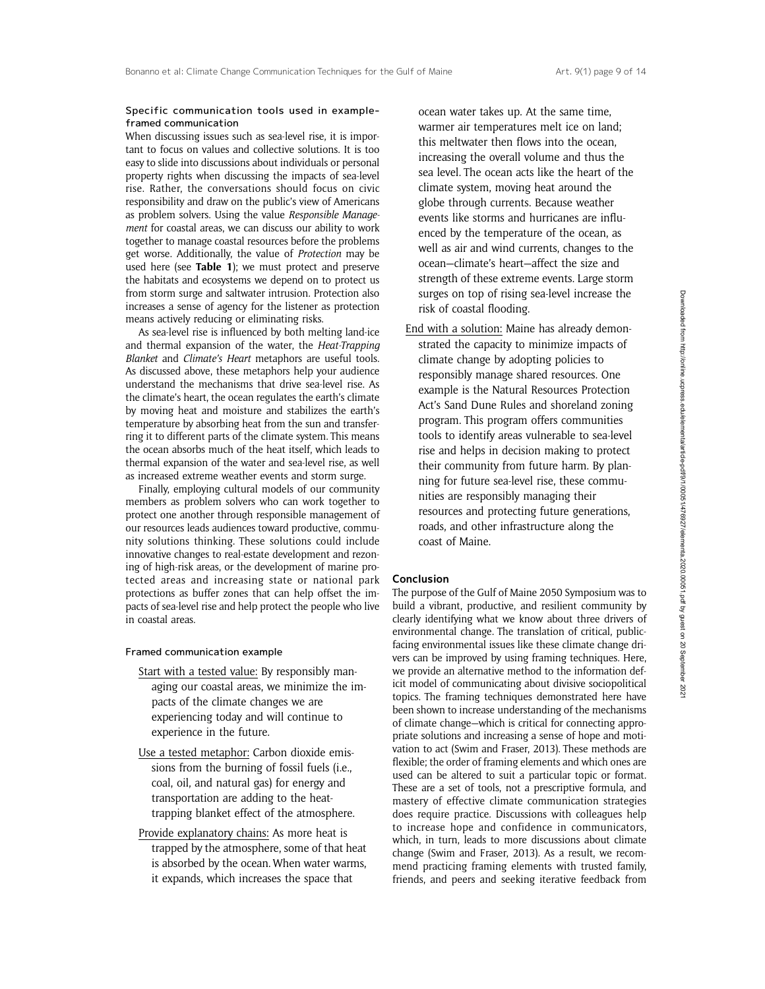#### Specific communication tools used in exampleframed communication

When discussing issues such as sea-level rise, it is important to focus on values and collective solutions. It is too easy to slide into discussions about individuals or personal property rights when discussing the impacts of sea-level rise. Rather, the conversations should focus on civic responsibility and draw on the public's view of Americans as problem solvers. Using the value Responsible Management for coastal areas, we can discuss our ability to work together to manage coastal resources before the problems get worse. Additionally, the value of Protection may be used here (see Table 1); we must protect and preserve the habitats and ecosystems we depend on to protect us from storm surge and saltwater intrusion. Protection also increases a sense of agency for the listener as protection means actively reducing or eliminating risks.

As sea-level rise is influenced by both melting land-ice and thermal expansion of the water, the Heat-Trapping Blanket and Climate's Heart metaphors are useful tools. As discussed above, these metaphors help your audience understand the mechanisms that drive sea-level rise. As the climate's heart, the ocean regulates the earth's climate by moving heat and moisture and stabilizes the earth's temperature by absorbing heat from the sun and transferring it to different parts of the climate system. This means the ocean absorbs much of the heat itself, which leads to thermal expansion of the water and sea-level rise, as well as increased extreme weather events and storm surge.

Finally, employing cultural models of our community members as problem solvers who can work together to protect one another through responsible management of our resources leads audiences toward productive, community solutions thinking. These solutions could include innovative changes to real-estate development and rezoning of high-risk areas, or the development of marine protected areas and increasing state or national park protections as buffer zones that can help offset the impacts of sea-level rise and help protect the people who live in coastal areas.

### Framed communication example

- Start with a tested value: By responsibly managing our coastal areas, we minimize the impacts of the climate changes we are experiencing today and will continue to experience in the future.
- Use a tested metaphor: Carbon dioxide emissions from the burning of fossil fuels (i.e., coal, oil, and natural gas) for energy and transportation are adding to the heattrapping blanket effect of the atmosphere.
- Provide explanatory chains: As more heat is trapped by the atmosphere, some of that heat is absorbed by the ocean. When water warms, it expands, which increases the space that

ocean water takes up. At the same time, warmer air temperatures melt ice on land; this meltwater then flows into the ocean, increasing the overall volume and thus the sea level. The ocean acts like the heart of the climate system, moving heat around the globe through currents. Because weather events like storms and hurricanes are influenced by the temperature of the ocean, as well as air and wind currents, changes to the ocean—climate's heart—affect the size and strength of these extreme events. Large storm surges on top of rising sea-level increase the risk of coastal flooding.

End with a solution: Maine has already demonstrated the capacity to minimize impacts of climate change by adopting policies to responsibly manage shared resources. One example is the Natural Resources Protection Act's Sand Dune Rules and shoreland zoning program. This program offers communities tools to identify areas vulnerable to sea-level rise and helps in decision making to protect their community from future harm. By planning for future sea-level rise, these communities are responsibly managing their resources and protecting future generations, roads, and other infrastructure along the coast of Maine.

#### **Conclusion**

The purpose of the Gulf of Maine 2050 Symposium was to build a vibrant, productive, and resilient community by clearly identifying what we know about three drivers of environmental change. The translation of critical, publicfacing environmental issues like these climate change drivers can be improved by using framing techniques. Here, we provide an alternative method to the information deficit model of communicating about divisive sociopolitical topics. The framing techniques demonstrated here have been shown to increase understanding of the mechanisms of climate change—which is critical for connecting appropriate solutions and increasing a sense of hope and motivation to act (Swim and Fraser, 2013). These methods are flexible; the order of framing elements and which ones are used can be altered to suit a particular topic or format. These are a set of tools, not a prescriptive formula, and mastery of effective climate communication strategies does require practice. Discussions with colleagues help to increase hope and confidence in communicators, which, in turn, leads to more discussions about climate change (Swim and Fraser, 2013). As a result, we recommend practicing framing elements with trusted family, friends, and peers and seeking iterative feedback from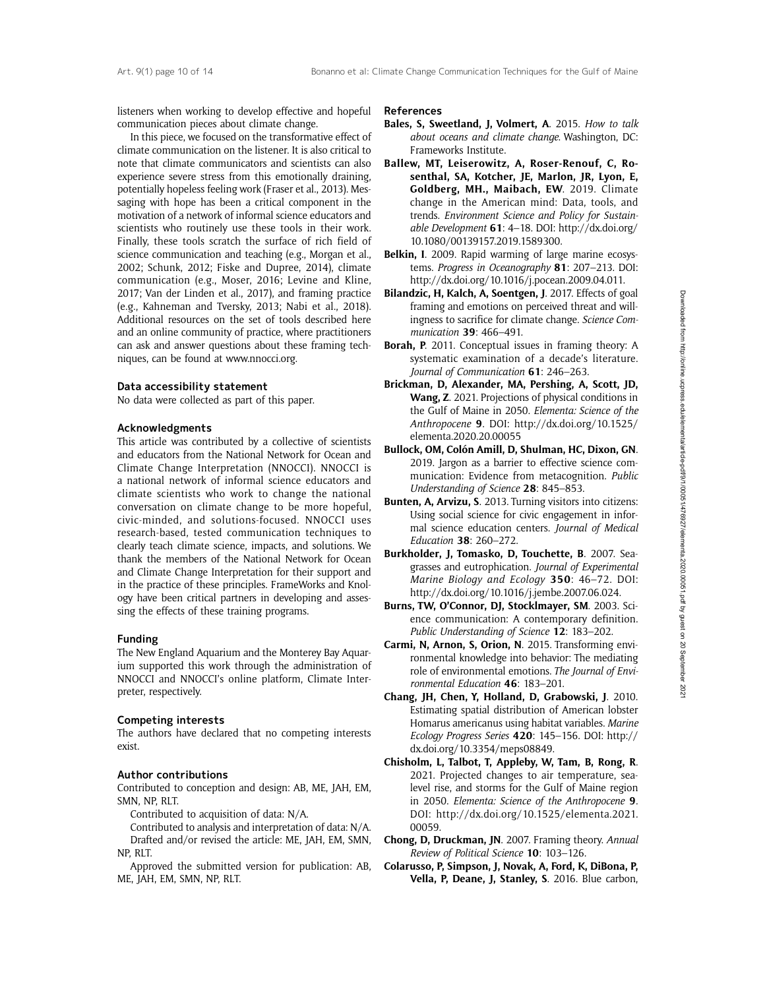listeners when working to develop effective and hopeful communication pieces about climate change.

In this piece, we focused on the transformative effect of climate communication on the listener. It is also critical to note that climate communicators and scientists can also experience severe stress from this emotionally draining, potentially hopeless feeling work (Fraser et al., 2013). Messaging with hope has been a critical component in the motivation of a network of informal science educators and scientists who routinely use these tools in their work. Finally, these tools scratch the surface of rich field of science communication and teaching (e.g., Morgan et al., 2002; Schunk, 2012; Fiske and Dupree, 2014), climate communication (e.g., Moser, 2016; Levine and Kline, 2017; Van der Linden et al., 2017), and framing practice (e.g., Kahneman and Tversky, 2013; Nabi et al., 2018). Additional resources on the set of tools described here and an online community of practice, where practitioners can ask and answer questions about these framing techniques, can be found at<www.nnocci.org>.

#### Data accessibility statement

No data were collected as part of this paper.

#### Acknowledgments

This article was contributed by a collective of scientists and educators from the National Network for Ocean and Climate Change Interpretation (NNOCCI). NNOCCI is a national network of informal science educators and climate scientists who work to change the national conversation on climate change to be more hopeful, civic-minded, and solutions-focused. NNOCCI uses research-based, tested communication techniques to clearly teach climate science, impacts, and solutions. We thank the members of the National Network for Ocean and Climate Change Interpretation for their support and in the practice of these principles. FrameWorks and Knology have been critical partners in developing and assessing the effects of these training programs.

#### Funding

The New England Aquarium and the Monterey Bay Aquarium supported this work through the administration of NNOCCI and NNOCCI's online platform, Climate Interpreter, respectively.

#### Competing interests

The authors have declared that no competing interests exist.

#### Author contributions

Contributed to conception and design: AB, ME, JAH, EM, SMN, NP, RLT.

Contributed to acquisition of data: N/A.

Contributed to analysis and interpretation of data: N/A. Drafted and/or revised the article: ME, JAH, EM, SMN, NP, RLT.

Approved the submitted version for publication: AB, ME, JAH, EM, SMN, NP, RLT.

#### References

- Bales, S, Sweetland, J, Volmert, A. 2015. How to talk about oceans and climate change. Washington, DC: Frameworks Institute.
- Ballew, MT, Leiserowitz, A, Roser-Renouf, C, Rosenthal, SA, Kotcher, JE, Marlon, JR, Lyon, E, Goldberg, MH., Maibach, EW. 2019. Climate change in the American mind: Data, tools, and trends. Environment Science and Policy for Sustainable Development 61: 4–18. DOI: [http://dx.doi.org/](http://dx.doi.org/10.1080/00139157.2019.1589300) [10.1080/00139157.2019.1589300](http://dx.doi.org/10.1080/00139157.2019.1589300).
- Belkin, I. 2009. Rapid warming of large marine ecosystems. Progress in Oceanography 81: 207–213. DOI: [http://dx.doi.org/10.1016/j.pocean.2009.04.011.](http://dx.doi.org/10.1016/j.pocean.2009.04.011)
- Bilandzic, H, Kalch, A, Soentgen, J. 2017. Effects of goal framing and emotions on perceived threat and willingness to sacrifice for climate change. Science Communication 39: 466–491.
- Borah, P. 2011. Conceptual issues in framing theory: A systematic examination of a decade's literature. Journal of Communication 61: 246-263.
- Brickman, D, Alexander, MA, Pershing, A, Scott, JD, Wang, Z. 2021. Projections of physical conditions in the Gulf of Maine in 2050. Elementa: Science of the Anthropocene 9. DOI: [http://dx.doi.org/10.1525/](http://dx.doi.org/10.1525/elementa.2020.20.00055) [elementa.2020.20.00055](http://dx.doi.org/10.1525/elementa.2020.20.00055)
- Bullock, OM, Colón Amill, D, Shulman, HC, Dixon, GN. 2019. Jargon as a barrier to effective science communication: Evidence from metacognition. Public Understanding of Science 28: 845–853.
- Bunten, A, Arvizu, S. 2013. Turning visitors into citizens: Using social science for civic engagement in informal science education centers. Journal of Medical Education 38: 260–272.
- Burkholder, J, Tomasko, D, Touchette, B. 2007. Seagrasses and eutrophication. Journal of Experimental Marine Biology and Ecology 350: 46-72. DOI: [http://dx.doi.org/10.1016/j.jembe.2007.06.024.](http://dx.doi.org/10.1016/j.jembe.2007.06.024)
- Burns, TW, O'Connor, DJ, Stocklmayer, SM. 2003. Science communication: A contemporary definition. Public Understanding of Science 12: 183-202.
- Carmi, N, Arnon, S, Orion, N. 2015. Transforming environmental knowledge into behavior: The mediating role of environmental emotions. The Journal of Environmental Education 46: 183–201.
- Chang, JH, Chen, Y, Holland, D, Grabowski, J. 2010. Estimating spatial distribution of American lobster Homarus americanus using habitat variables. Marine Ecology Progress Series 420: 145–156. DOI: [http://](http://dx.doi.org/10.3354/meps08849) [dx.doi.org/10.3354/meps08849](http://dx.doi.org/10.3354/meps08849).
- Chisholm, L, Talbot, T, Appleby, W, Tam, B, Rong, R. 2021. Projected changes to air temperature, sealevel rise, and storms for the Gulf of Maine region in 2050. Elementa: Science of the Anthropocene 9. DOI: [http://dx.doi.org/10.1525/elementa.2021.](http://dx.doi.org/10.1525/elementa.2021.00059) [00059](http://dx.doi.org/10.1525/elementa.2021.00059).
- Chong, D, Druckman, JN. 2007. Framing theory. Annual Review of Political Science 10: 103–126.
- Colarusso, P, Simpson, J, Novak, A, Ford, K, DiBona, P, Vella, P, Deane, J, Stanley, S. 2016. Blue carbon,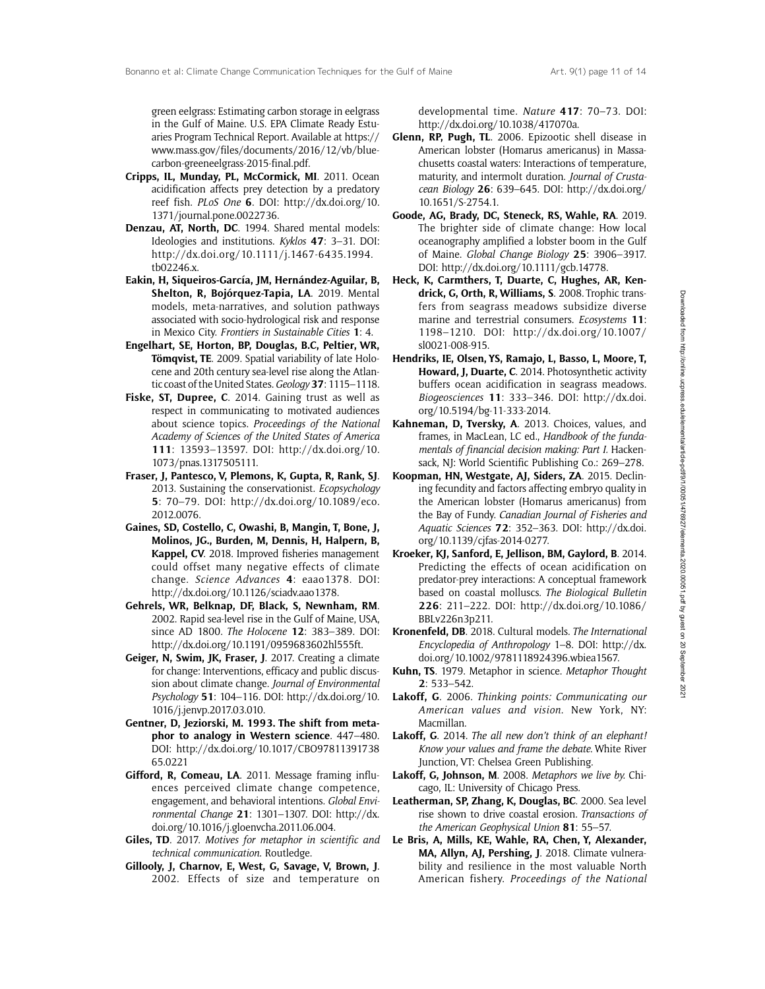green eelgrass: Estimating carbon storage in eelgrass in the Gulf of Maine. U.S. EPA Climate Ready Estuaries Program Technical Report. Available at https:// www.mass.gov/files/documents/2016/12/vb/bluecarbon-greeneelgrass-2015-final.pdf.

- Cripps, IL, Munday, PL, McCormick, MI. 2011. Ocean acidification affects prey detection by a predatory reef fish. PLoS One 6. DOI: [http://dx.doi.org/10.](http://dx.doi.org/10.1371/journal.pone.0022736) [1371/journal.pone.0022736.](http://dx.doi.org/10.1371/journal.pone.0022736)
- Denzau, AT, North, DC. 1994. Shared mental models: Ideologies and institutions. Kyklos 47: 3–31. DOI: [http://dx.doi.org/10.1111/j.1467-6435.1994.](http://dx.doi.org/10.1111/j.1467-6435.1994.tb02246.x) [tb02246.x.](http://dx.doi.org/10.1111/j.1467-6435.1994.tb02246.x)
- Eakin, H, Siqueiros-García, JM, Hernández-Aguilar, B, Shelton, R. Bojórquez-Tapia, LA. 2019. Mental models, meta-narratives, and solution pathways associated with socio-hydrological risk and response in Mexico City. Frontiers in Sustainable Cities 1: 4.
- Engelhart, SE, Horton, BP, Douglas, B.C, Peltier, WR, Tömqvist, TE. 2009. Spatial variability of late Holocene and 20th century sea-level rise along the Atlantic coast of the United States. Geology 37: 1115-1118.
- Fiske, ST, Dupree, C. 2014. Gaining trust as well as respect in communicating to motivated audiences about science topics. Proceedings of the National Academy of Sciences of the United States of America 111: 13593–13597. DOI: [http://dx.doi.org/10.](http://dx.doi.org/10.1073/pnas.1317505111) [1073/pnas.1317505111.](http://dx.doi.org/10.1073/pnas.1317505111)
- Fraser, J, Pantesco, V, Plemons, K, Gupta, R, Rank, SJ. 2013. Sustaining the conservationist. Ecopsychology 5: 70–79. DOI: [http://dx.doi.org/10.1089/eco.](http://dx.doi.org/10.1089/eco.2012.0076) [2012.0076](http://dx.doi.org/10.1089/eco.2012.0076).
- Gaines, SD, Costello, C, Owashi, B, Mangin, T, Bone, J, Molinos, JG., Burden, M, Dennis, H, Halpern, B, Kappel, CV. 2018. Improved fisheries management could offset many negative effects of climate change. Science Advances 4: eaao1378. DOI: [http://dx.doi.org/10.1126/sciadv.aao1378.](http://dx.doi.org/10.1126/sciadv.aao1378)
- Gehrels, WR, Belknap, DF, Black, S, Newnham, RM. 2002. Rapid sea-level rise in the Gulf of Maine, USA, since AD 1800. The Holocene 12: 383–389. DOI: <http://dx.doi.org/10.1191/0959683602hl555ft>.
- Geiger, N, Swim, JK, Fraser, J. 2017. Creating a climate for change: Interventions, efficacy and public discussion about climate change. Journal of Environmental Psychology 51: 104–116. DOI: [http://dx.doi.org/10.](http://dx.doi.org/10.1016/j.jenvp.2017.03.010) [1016/j.jenvp.2017.03.010.](http://dx.doi.org/10.1016/j.jenvp.2017.03.010)
- Gentner, D, Jeziorski, M. 1993. The shift from metaphor to analogy in Western science. 447–480. DOI: [http://dx.doi.org/10.1017/CBO97811391738](http://dx.doi.org/10.1017/CBO9781139173865.022) [65.0221](http://dx.doi.org/10.1017/CBO9781139173865.022)
- Gifford, R, Comeau, LA. 2011. Message framing influences perceived climate change competence, engagement, and behavioral intentions. Global Environmental Change 21: 1301–1307. DOI: [http://dx.](http://dx.doi.org/10.1016/j.gloenvcha.2011.06.004) [doi.org/10.1016/j.gloenvcha.2011.06.004](http://dx.doi.org/10.1016/j.gloenvcha.2011.06.004).
- Giles, TD. 2017. Motives for metaphor in scientific and technical communication. Routledge.
- Gillooly, J, Charnov, E, West, G, Savage, V, Brown, J. 2002. Effects of size and temperature on

developmental time. Nature 417: 70–73. DOI: [http://dx.doi.org/10.1038/417070a.](http://dx.doi.org/10.1038/417070a)

- Glenn, RP, Pugh, TL. 2006. Epizootic shell disease in American lobster (Homarus americanus) in Massachusetts coastal waters: Interactions of temperature, maturity, and intermolt duration. Journal of Crustacean Biology 26: 639–645. DOI: [http://dx.doi.org/](http://dx.doi.org/10.1651/S-2754.1) [10.1651/S-2754.1.](http://dx.doi.org/10.1651/S-2754.1)
- Goode, AG, Brady, DC, Steneck, RS, Wahle, RA. 2019. The brighter side of climate change: How local oceanography amplified a lobster boom in the Gulf of Maine. Global Change Biology 25: 3906–3917. DOI:<http://dx.doi.org/10.1111/gcb.14778>.
- Heck, K, Carmthers, T, Duarte, C, Hughes, AR, Kendrick, G, Orth, R, Williams, S. 2008. Trophic transfers from seagrass meadows subsidize diverse marine and terrestrial consumers. Ecosystems 11: 1198–1210. DOI: [http://dx.doi.org/10.1007/](http://dx.doi.org/10.1007/sl0021-008-915) [sl0021-008-915](http://dx.doi.org/10.1007/sl0021-008-915).
- Hendriks, IE, Olsen, YS, Ramajo, L, Basso, L, Moore, T, Howard, J, Duarte, C. 2014. Photosynthetic activity buffers ocean acidification in seagrass meadows. Biogeosciences 11: 333–346. DOI: [http://dx.doi.](http://dx.doi.org/10.5194/bg-11-333-2014) [org/10.5194/bg-11-333-2014](http://dx.doi.org/10.5194/bg-11-333-2014).
- Kahneman, D, Tversky, A. 2013. Choices, values, and frames, in MacLean, LC ed., Handbook of the fundamentals of financial decision making: Part I. Hackensack, NJ: World Scientific Publishing Co.: 269–278.
- Koopman, HN, Westgate, AJ, Siders, ZA. 2015. Declining fecundity and factors affecting embryo quality in the American lobster (Homarus americanus) from the Bay of Fundy. Canadian Journal of Fisheries and Aquatic Sciences 72: 352–363. DOI: [http://dx.doi.](http://dx.doi.org/10.1139/cjfas-2014-0277) [org/10.1139/cjfas-2014-0277.](http://dx.doi.org/10.1139/cjfas-2014-0277)
- Kroeker, KJ, Sanford, E, Jellison, BM, Gaylord, B. 2014. Predicting the effects of ocean acidification on predator-prey interactions: A conceptual framework based on coastal molluscs. The Biological Bulletin 226: 211–222. DOI: [http://dx.doi.org/10.1086/](http://dx.doi.org/10.1086/BBLv226n3p211) [BBLv226n3p211.](http://dx.doi.org/10.1086/BBLv226n3p211)
- Kronenfeld, DB. 2018. Cultural models. The International Encyclopedia of Anthropology 1–8. DOI: [http://dx.](http://dx.doi.org/10.1002/9781118924396.wbiea1567) [doi.org/10.1002/9781118924396.wbiea1567.](http://dx.doi.org/10.1002/9781118924396.wbiea1567)
- Kuhn, TS. 1979. Metaphor in science. Metaphor Thought 2: 533–542.
- Lakoff, G. 2006. Thinking points: Communicating our American values and vision. New York, NY: Macmillan.
- Lakoff, G. 2014. The all new don't think of an elephant! Know your values and frame the debate. White River Junction, VT: Chelsea Green Publishing.
- Lakoff, G, Johnson, M. 2008. Metaphors we live by. Chicago, IL: University of Chicago Press.
- Leatherman, SP, Zhang, K, Douglas, BC. 2000. Sea level rise shown to drive coastal erosion. Transactions of the American Geophysical Union 81: 55–57.
- Le Bris, A, Mills, KE, Wahle, RA, Chen, Y, Alexander, MA, Allyn, AJ, Pershing, J. 2018. Climate vulnerability and resilience in the most valuable North American fishery. Proceedings of the National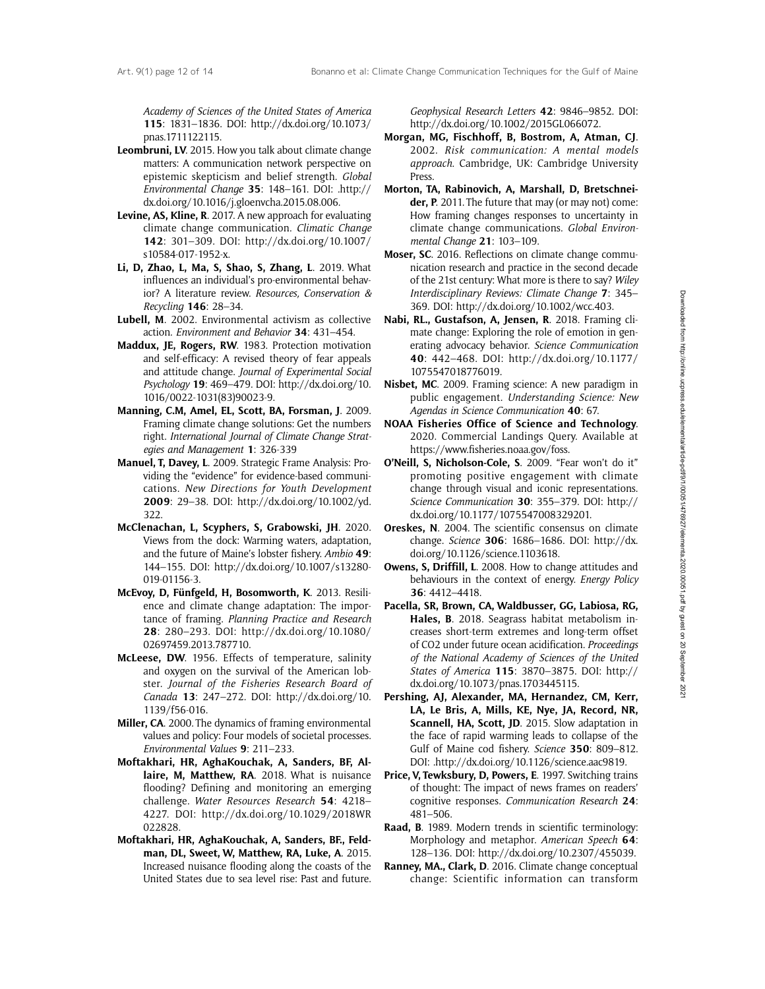Academy of Sciences of the United States of America 115: 1831–1836. DOI: [http://dx.doi.org/10.1073/](http://dx.doi.org/10.1073/pnas.1711122115) [pnas.1711122115.](http://dx.doi.org/10.1073/pnas.1711122115)

- Leombruni, LV. 2015. How you talk about climate change matters: A communication network perspective on epistemic skepticism and belief strength. Global Environmental Change 35: 148–161. DOI: [.http://](http://dx.doi.org/10.1016/j.gloenvcha.2015.08.006) [dx.doi.org/10.1016/j.gloenvcha.2015.08.006.](http://dx.doi.org/10.1016/j.gloenvcha.2015.08.006)
- Levine, AS, Kline, R. 2017. A new approach for evaluating climate change communication. Climatic Change 142: 301–309. DOI: [http://dx.doi.org/10.1007/](http://dx.doi.org/10.1007/s10584-017-1952-x) [s10584-017-1952-x](http://dx.doi.org/10.1007/s10584-017-1952-x).
- Li, D, Zhao, L, Ma, S, Shao, S, Zhang, L. 2019. What influences an individual's pro-environmental behavior? A literature review. Resources, Conservation & Recycling 146: 28–34.
- Lubell, M. 2002. Environmental activism as collective action. Environment and Behavior 34: 431–454.
- Maddux, JE, Rogers, RW. 1983. Protection motivation and self-efficacy: A revised theory of fear appeals and attitude change. Journal of Experimental Social Psychology 19: 469–479. DOI: [http://dx.doi.org/10.](http://dx.doi.org/10.1016/0022-1031(83)90023-9) [1016/0022-1031\(83\)90023-9](http://dx.doi.org/10.1016/0022-1031(83)90023-9).
- Manning, C.M, Amel, EL, Scott, BA, Forsman, J. 2009. Framing climate change solutions: Get the numbers right. International Journal of Climate Change Strategies and Management 1: 326-339
- Manuel, T, Davey, L. 2009. Strategic Frame Analysis: Providing the "evidence" for evidence-based communications. New Directions for Youth Development 2009: 29–38. DOI: [http://dx.doi.org/10.1002/yd.](http://dx.doi.org/10.1002/yd.322) [322.](http://dx.doi.org/10.1002/yd.322)
- McClenachan, L, Scyphers, S, Grabowski, JH. 2020. Views from the dock: Warming waters, adaptation, and the future of Maine's lobster fishery. Ambio 49: 144–155. DOI: [http://dx.doi.org/10.1007/s13280-](http://dx.doi.org/10.1007/s13280-019-01156-3) [019-01156-3.](http://dx.doi.org/10.1007/s13280-019-01156-3)
- McEvoy, D, Fünfgeld, H, Bosomworth, K. 2013. Resilience and climate change adaptation: The importance of framing. Planning Practice and Research 28: 280–293. DOI: [http://dx.doi.org/10.1080/](http://dx.doi.org/10.1080/02697459.2013.787710) [02697459.2013.787710](http://dx.doi.org/10.1080/02697459.2013.787710).
- McLeese, DW. 1956. Effects of temperature, salinity and oxygen on the survival of the American lobster. Journal of the Fisheries Research Board of Canada 13: 247–272. DOI: [http://dx.doi.org/10.](http://dx.doi.org/10.1139/f56-016) [1139/f56-016.](http://dx.doi.org/10.1139/f56-016)
- Miller, CA. 2000. The dynamics of framing environmental values and policy: Four models of societal processes. Environmental Values 9: 211–233.
- Moftakhari, HR, AghaKouchak, A, Sanders, BF, Allaire, M, Matthew, RA. 2018. What is nuisance flooding? Defining and monitoring an emerging challenge. Water Resources Research 54: 4218– 4227. DOI: [http://dx.doi.org/10.1029/2018WR](http://dx.doi.org/10.1029/2018WR022828) [022828.](http://dx.doi.org/10.1029/2018WR022828)
- Moftakhari, HR, AghaKouchak, A, Sanders, BF., Feldman, DL, Sweet, W, Matthew, RA, Luke, A. 2015. Increased nuisance flooding along the coasts of the United States due to sea level rise: Past and future.

Geophysical Research Letters 42: 9846–9852. DOI: <http://dx.doi.org/10.1002/2015GL066072>.

- Morgan, MG, Fischhoff, B, Bostrom, A, Atman, CJ. 2002. Risk communication: A mental models approach. Cambridge, UK: Cambridge University **Press**
- Morton, TA, Rabinovich, A, Marshall, D, Bretschneider, P. 2011. The future that may (or may not) come: How framing changes responses to uncertainty in climate change communications. Global Environmental Change 21: 103–109.
- Moser, SC. 2016. Reflections on climate change communication research and practice in the second decade of the 21st century: What more is there to say? Wiley Interdisciplinary Reviews: Climate Change 7: 345– 369. DOI: [http://dx.doi.org/10.1002/wcc.403.](http://dx.doi.org/10.1002/wcc.403)
- Nabi, RL., Gustafson, A, Jensen, R. 2018. Framing climate change: Exploring the role of emotion in generating advocacy behavior. Science Communication 40: 442–468. DOI: [http://dx.doi.org/10.1177/](http://dx.doi.org/10.1177/1075547018776019) [1075547018776019](http://dx.doi.org/10.1177/1075547018776019).
- Nisbet, MC. 2009. Framing science: A new paradigm in public engagement. Understanding Science: New Agendas in Science Communication 40: 67.
- NOAA Fisheries Office of Science and Technology. 2020. Commercial Landings Query. Available at https://www.fisheries.noaa.gov/foss.
- O'Neill, S, Nicholson-Cole, S. 2009. "Fear won't do it" promoting positive engagement with climate change through visual and iconic representations. Science Communication 30: 355-379. DOI: [http://](http://dx.doi.org/10.1177/1075547008329201) [dx.doi.org/10.1177/1075547008329201.](http://dx.doi.org/10.1177/1075547008329201)
- Oreskes, N. 2004. The scientific consensus on climate change. Science 306: 1686–1686. DOI: [http://dx.](http://dx.doi.org/10.1126/science.1103618) [doi.org/10.1126/science.1103618](http://dx.doi.org/10.1126/science.1103618).
- Owens, S, Driffill, L. 2008. How to change attitudes and behaviours in the context of energy. Energy Policy 36: 4412–4418.
- Pacella, SR, Brown, CA, Waldbusser, GG, Labiosa, RG, Hales, B. 2018. Seagrass habitat metabolism increases short-term extremes and long-term offset of CO2 under future ocean acidification. Proceedings of the National Academy of Sciences of the United States of America 115: 3870–3875. DOI: [http://](http://dx.doi.org/10.1073/pnas.1703445115) [dx.doi.org/10.1073/pnas.1703445115](http://dx.doi.org/10.1073/pnas.1703445115).
- Pershing, AJ, Alexander, MA, Hernandez, CM, Kerr, LA, Le Bris, A, Mills, KE, Nye, JA, Record, NR, Scannell, HA, Scott, JD. 2015. Slow adaptation in the face of rapid warming leads to collapse of the Gulf of Maine cod fishery. Science 350: 809-812. DOI: [.http://dx.doi.org/10.1126/science.aac9819](http://dx.doi.org/10.1126/science.aac9819).
- Price, V, Tewksbury, D, Powers, E. 1997. Switching trains of thought: The impact of news frames on readers' cognitive responses. Communication Research 24: 481–506.
- Raad, B. 1989. Modern trends in scientific terminology: Morphology and metaphor. American Speech 64: 128–136. DOI:<http://dx.doi.org/10.2307/455039>.
- Ranney, MA., Clark, D. 2016. Climate change conceptual change: Scientific information can transform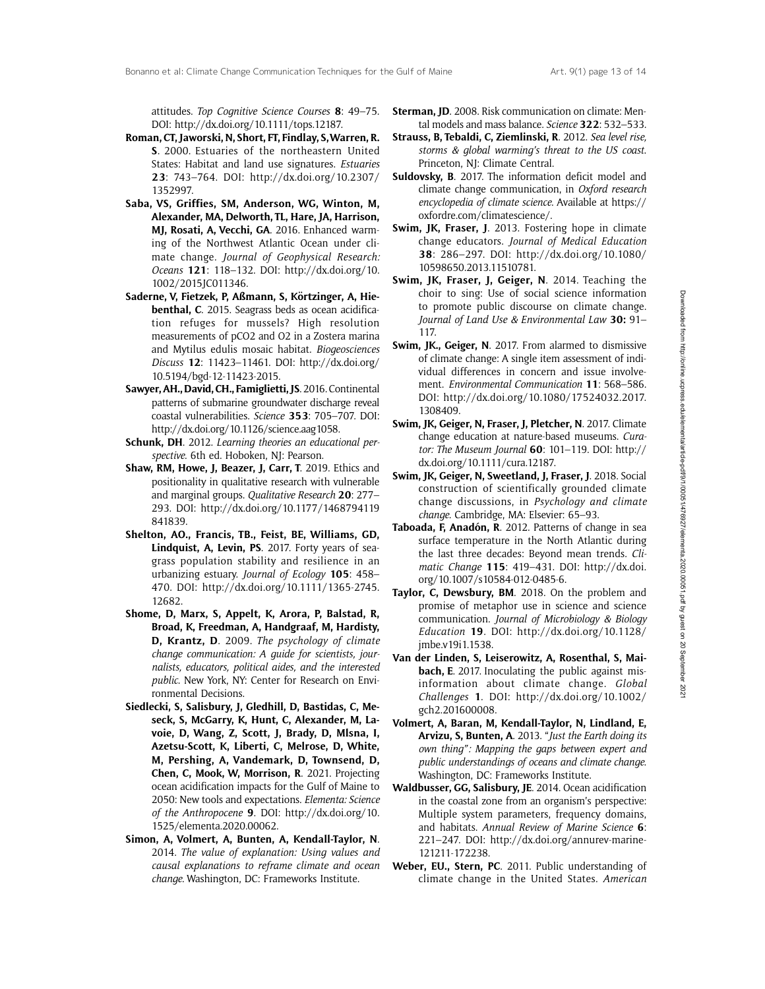attitudes. Top Cognitive Science Courses 8: 49–75. DOI: [http://dx.doi.org/10.1111/tops.12187.](http://dx.doi.org/10.1111/tops.12187)

- Roman, CT, Jaworski, N, Short, FT, Findlay, S,Warren, R. S. 2000. Estuaries of the northeastern United States: Habitat and land use signatures. Estuaries 23: 743–764. DOI: [http://dx.doi.org/10.2307/](http://dx.doi.org/10.2307/1352997) [1352997.](http://dx.doi.org/10.2307/1352997)
- Saba, VS, Griffies, SM, Anderson, WG, Winton, M, Alexander, MA, Delworth, TL, Hare, JA, Harrison, MJ, Rosati, A, Vecchi, GA. 2016. Enhanced warming of the Northwest Atlantic Ocean under climate change. Journal of Geophysical Research: Oceans 121: 118–132. DOI: [http://dx.doi.org/10.](http://dx.doi.org/10.1002/2015JC011346) [1002/2015JC011346](http://dx.doi.org/10.1002/2015JC011346).
- Saderne, V, Fietzek, P, Aßmann, S, Körtzinger, A, Hiebenthal, C. 2015. Seagrass beds as ocean acidification refuges for mussels? High resolution measurements of pCO2 and O2 in a Zostera marina and Mytilus edulis mosaic habitat. Biogeosciences Discuss 12: 11423–11461. DOI: [http://dx.doi.org/](http://dx.doi.org/10.5194/bgd-12-11423-2015) [10.5194/bgd-12-11423-2015.](http://dx.doi.org/10.5194/bgd-12-11423-2015)
- Sawyer, AH., David, CH., Famiglietti, JS. 2016. Continental patterns of submarine groundwater discharge reveal coastal vulnerabilities. Science 353: 705–707. DOI: [http://dx.doi.org/10.1126/science.aag1058.](http://dx.doi.org/10.1126/science.aag1058)
- Schunk, DH. 2012. Learning theories an educational perspective. 6th ed. Hoboken, NJ: Pearson.
- Shaw, RM, Howe, J, Beazer, J, Carr, T. 2019. Ethics and positionality in qualitative research with vulnerable and marginal groups. Qualitative Research 20: 277– 293. DOI: [http://dx.doi.org/10.1177/1468794119](http://dx.doi.org/10.1177/1468794119841839) [841839](http://dx.doi.org/10.1177/1468794119841839).
- Shelton, AO., Francis, TB., Feist, BE, Williams, GD, Lindquist, A, Levin, PS. 2017. Forty years of seagrass population stability and resilience in an urbanizing estuary. Journal of Ecology 105: 458– 470. DOI: [http://dx.doi.org/10.1111/1365-2745.](http://dx.doi.org/10.1111/1365-2745.12682) [12682.](http://dx.doi.org/10.1111/1365-2745.12682)
- Shome, D, Marx, S, Appelt, K, Arora, P, Balstad, R, Broad, K, Freedman, A, Handgraaf, M, Hardisty, D, Krantz, D. 2009. The psychology of climate change communication: A guide for scientists, journalists, educators, political aides, and the interested public. New York, NY: Center for Research on Environmental Decisions.
- Siedlecki, S, Salisbury, J, Gledhill, D, Bastidas, C, Meseck, S, McGarry, K, Hunt, C, Alexander, M, Lavoie, D, Wang, Z, Scott, J, Brady, D, Mlsna, I, Azetsu-Scott, K, Liberti, C, Melrose, D, White, M, Pershing, A, Vandemark, D, Townsend, D, Chen, C, Mook, W, Morrison, R. 2021. Projecting ocean acidification impacts for the Gulf of Maine to 2050: New tools and expectations. Elementa: Science of the Anthropocene 9. DOI: [http://dx.doi.org/10.](http://dx.doi.org/10.1525/elementa.2020.00062) [1525/elementa.2020.00062](http://dx.doi.org/10.1525/elementa.2020.00062).
- Simon, A, Volmert, A, Bunten, A, Kendall-Taylor, N. 2014. The value of explanation: Using values and causal explanations to reframe climate and ocean change. Washington, DC: Frameworks Institute.
- Sterman, JD. 2008. Risk communication on climate: Mental models and mass balance. Science 322: 532-533.
- Strauss, B, Tebaldi, C, Ziemlinski, R. 2012. Sea level rise, storms & global warming's threat to the US coast. Princeton, NJ: Climate Central.
- Suldovsky, B. 2017. The information deficit model and climate change communication, in Oxford research encyclopedia of climate science. Available at https:// oxfordre.com/climatescience/.
- Swim, JK, Fraser, J. 2013. Fostering hope in climate change educators. Journal of Medical Education 38: 286–297. DOI: [http://dx.doi.org/10.1080/](http://dx.doi.org/10.1080/10598650.2013.11510781) [10598650.2013.11510781.](http://dx.doi.org/10.1080/10598650.2013.11510781)
- Swim, JK, Fraser, J. Geiger, N. 2014. Teaching the choir to sing: Use of social science information to promote public discourse on climate change. Journal of Land Use & Environmental Law 30: 91– 117.
- Swim, JK., Geiger, N. 2017. From alarmed to dismissive of climate change: A single item assessment of individual differences in concern and issue involvement. Environmental Communication 11: 568–586. DOI: [http://dx.doi.org/10.1080/17524032.2017.](http://dx.doi.org/10.1080/17524032.2017.1308409) [1308409](http://dx.doi.org/10.1080/17524032.2017.1308409).
- Swim, JK, Geiger, N, Fraser, J, Pletcher, N. 2017. Climate change education at nature-based museums. Curator: The Museum Journal  $60$ : 101-119. DOI: [http://](http://dx.doi.org/10.1111/cura.12187) [dx.doi.org/10.1111/cura.12187.](http://dx.doi.org/10.1111/cura.12187)
- Swim, JK, Geiger, N, Sweetland, J, Fraser, J. 2018. Social construction of scientifically grounded climate change discussions, in Psychology and climate change. Cambridge, MA: Elsevier: 65–93.
- Taboada, F, Anadón, R. 2012. Patterns of change in sea surface temperature in the North Atlantic during the last three decades: Beyond mean trends. Climatic Change 115: 419–431. DOI: [http://dx.doi.](http://dx.doi.org/10.1007/s10584-012-0485-6) [org/10.1007/s10584-012-0485-6.](http://dx.doi.org/10.1007/s10584-012-0485-6)
- Taylor, C, Dewsbury, BM. 2018. On the problem and promise of metaphor use in science and science communication. Journal of Microbiology & Biology Education 19. DOI: [http://dx.doi.org/10.1128/](http://dx.doi.org/10.1128/jmbe.v19i1.1538) [jmbe.v19i1.1538](http://dx.doi.org/10.1128/jmbe.v19i1.1538).
- Van der Linden, S, Leiserowitz, A, Rosenthal, S, Maibach, E. 2017. Inoculating the public against misinformation about climate change. Global Challenges 1. DOI: [http://dx.doi.org/10.1002/](http://dx.doi.org/10.1002/gch2.201600008) [gch2.201600008](http://dx.doi.org/10.1002/gch2.201600008).
- Volmert, A, Baran, M, Kendall-Taylor, N, Lindland, E, Arvizu, S, Bunten, A. 2013. "Just the Earth doing its own thing": Mapping the gaps between expert and public understandings of oceans and climate change. Washington, DC: Frameworks Institute.
- Waldbusser, GG, Salisbury, JE. 2014. Ocean acidification in the coastal zone from an organism's perspective: Multiple system parameters, frequency domains, and habitats. Annual Review of Marine Science 6: 221–247. DOI: [http://dx.doi.org/annurev-marine-](http://dx.doi.org/annurev-marine-121211-172238)[121211-172238.](http://dx.doi.org/annurev-marine-121211-172238)
- Weber, EU., Stern, PC. 2011. Public understanding of climate change in the United States. American